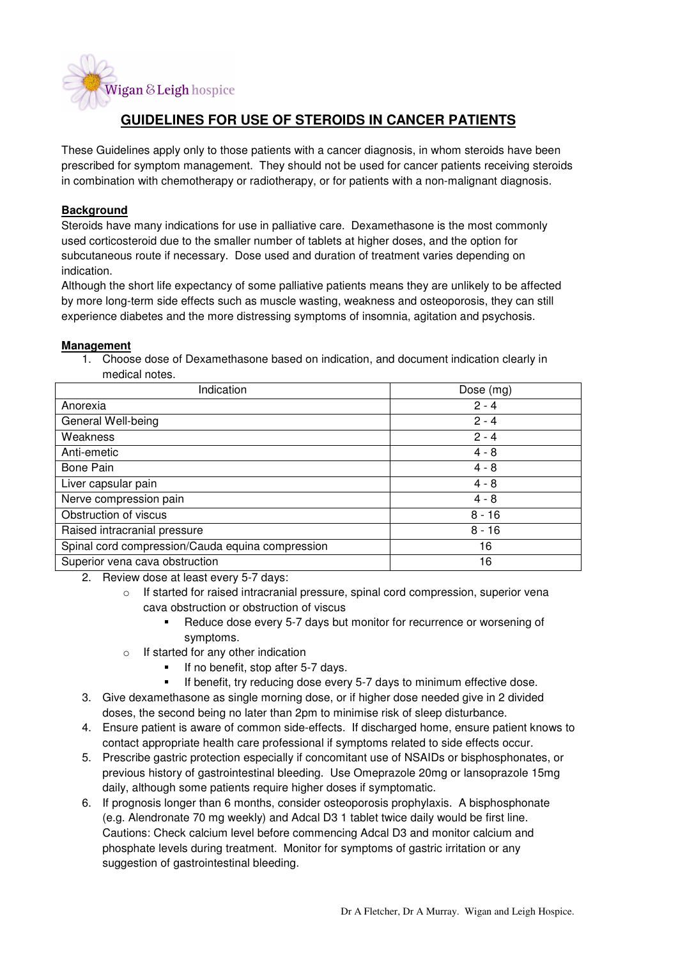

# **GUIDELINES FOR USE OF STEROIDS IN CANCER PATIENTS**

These Guidelines apply only to those patients with a cancer diagnosis, in whom steroids have been prescribed for symptom management. They should not be used for cancer patients receiving steroids in combination with chemotherapy or radiotherapy, or for patients with a non-malignant diagnosis.

# **Background**

Steroids have many indications for use in palliative care. Dexamethasone is the most commonly used corticosteroid due to the smaller number of tablets at higher doses, and the option for subcutaneous route if necessary. Dose used and duration of treatment varies depending on indication.

Although the short life expectancy of some palliative patients means they are unlikely to be affected by more long-term side effects such as muscle wasting, weakness and osteoporosis, they can still experience diabetes and the more distressing symptoms of insomnia, agitation and psychosis.

#### **Management**

1. Choose dose of Dexamethasone based on indication, and document indication clearly in medical notes.

| Indication                                       | Dose (mg) |
|--------------------------------------------------|-----------|
| Anorexia                                         | $2 - 4$   |
| General Well-being                               | $2 - 4$   |
| Weakness                                         | $2 - 4$   |
| Anti-emetic                                      | $4 - 8$   |
| Bone Pain                                        | $4 - 8$   |
| Liver capsular pain                              | $4 - 8$   |
| Nerve compression pain                           | $4 - 8$   |
| Obstruction of viscus                            | $8 - 16$  |
| Raised intracranial pressure                     | $8 - 16$  |
| Spinal cord compression/Cauda equina compression | 16        |
| Superior vena cava obstruction                   | 16        |

2. Review dose at least every 5-7 days:

- $\circ$  If started for raised intracranial pressure, spinal cord compression, superior vena cava obstruction or obstruction of viscus
	- Reduce dose every 5-7 days but monitor for recurrence or worsening of symptoms.
- o If started for any other indication
	- $\blacksquare$  If no benefit, stop after 5-7 days.
	- If benefit, try reducing dose every 5-7 days to minimum effective dose.
- 3. Give dexamethasone as single morning dose, or if higher dose needed give in 2 divided doses, the second being no later than 2pm to minimise risk of sleep disturbance.
- 4. Ensure patient is aware of common side-effects. If discharged home, ensure patient knows to contact appropriate health care professional if symptoms related to side effects occur.
- 5. Prescribe gastric protection especially if concomitant use of NSAIDs or bisphosphonates, or previous history of gastrointestinal bleeding. Use Omeprazole 20mg or lansoprazole 15mg daily, although some patients require higher doses if symptomatic.
- 6. If prognosis longer than 6 months, consider osteoporosis prophylaxis. A bisphosphonate (e.g. Alendronate 70 mg weekly) and Adcal D3 1 tablet twice daily would be first line. Cautions: Check calcium level before commencing Adcal D3 and monitor calcium and phosphate levels during treatment. Monitor for symptoms of gastric irritation or any suggestion of gastrointestinal bleeding.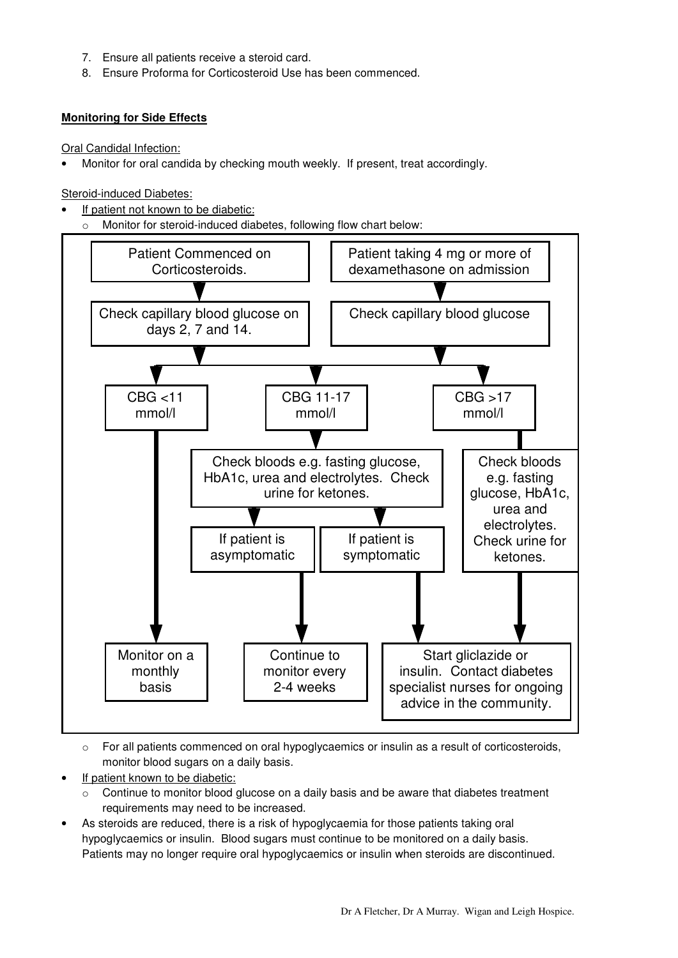- 7. Ensure all patients receive a steroid card.
- 8. Ensure Proforma for Corticosteroid Use has been commenced.

### **Monitoring for Side Effects**

Oral Candidal Infection:

• Monitor for oral candida by checking mouth weekly. If present, treat accordingly.

Steroid-induced Diabetes:

- If patient not known to be diabetic:
	- o Monitor for steroid-induced diabetes, following flow chart below:



 $\circ$  For all patients commenced on oral hypoglycaemics or insulin as a result of corticosteroids, monitor blood sugars on a daily basis.

- If patient known to be diabetic:
	- $\circ$  Continue to monitor blood glucose on a daily basis and be aware that diabetes treatment requirements may need to be increased.
- As steroids are reduced, there is a risk of hypoglycaemia for those patients taking oral hypoglycaemics or insulin. Blood sugars must continue to be monitored on a daily basis. Patients may no longer require oral hypoglycaemics or insulin when steroids are discontinued.